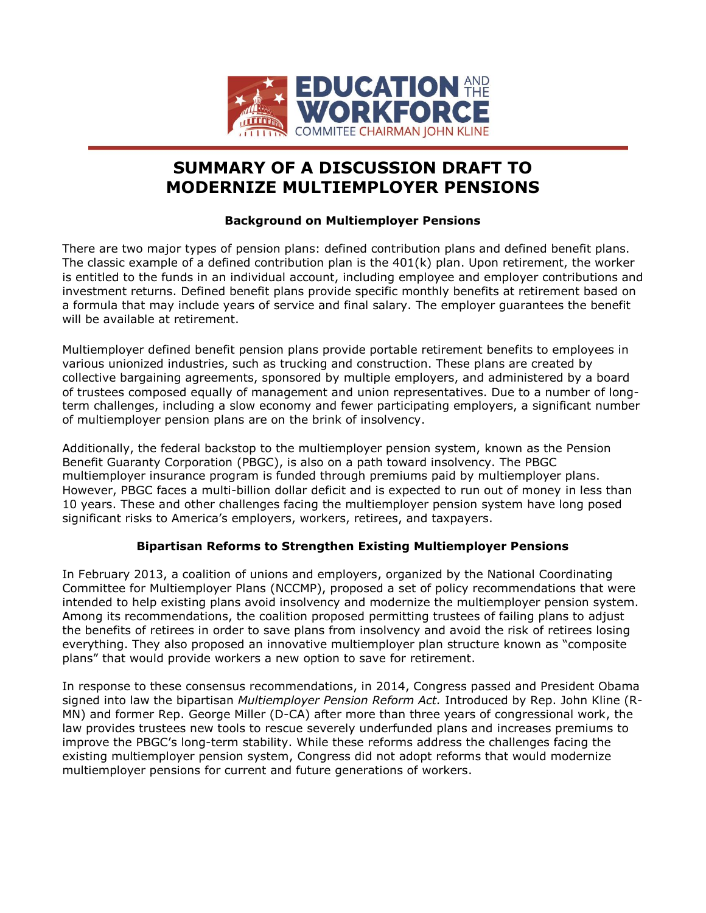

# **SUMMARY OF A DISCUSSION DRAFT TO MODERNIZE MULTIEMPLOYER PENSIONS**

#### **Background on Multiemployer Pensions**

There are two major types of pension plans: defined contribution plans and defined benefit plans. The classic example of a defined contribution plan is the  $401(k)$  plan. Upon retirement, the worker is entitled to the funds in an individual account, including employee and employer contributions and investment returns. Defined benefit plans provide specific monthly benefits at retirement based on a formula that may include years of service and final salary. The employer guarantees the benefit will be available at retirement.

Multiemployer defined benefit pension plans provide portable retirement benefits to employees in various unionized industries, such as trucking and construction. These plans are created by collective bargaining agreements, sponsored by multiple employers, and administered by a board of trustees composed equally of management and union representatives. Due to a number of longterm challenges, including a slow economy and fewer participating employers, a significant number of multiemployer pension plans are on the brink of insolvency.

Additionally, the federal backstop to the multiemployer pension system, known as the Pension Benefit Guaranty Corporation (PBGC), is also on a path toward insolvency. The PBGC multiemployer insurance program is funded through premiums paid by multiemployer plans. However, PBGC faces a multi-billion dollar deficit and is expected to run out of money in less than 10 years. These and other challenges facing the multiemployer pension system have long posed significant risks to America's employers, workers, retirees, and taxpayers.

## **Bipartisan Reforms to Strengthen Existing Multiemployer Pensions**

In February 2013, a coalition of unions and employers, organized by the National Coordinating Committee for Multiemployer Plans (NCCMP), proposed a set of policy recommendations that were intended to help existing plans avoid insolvency and modernize the multiemployer pension system. Among its recommendations, the coalition proposed permitting trustees of failing plans to adjust the benefits of retirees in order to save plans from insolvency and avoid the risk of retirees losing everything. They also proposed an innovative multiemployer plan structure known as "composite plans" that would provide workers a new option to save for retirement.

In response to these consensus recommendations, in 2014, Congress passed and President Obama signed into law the bipartisan *Multiemployer Pension Reform Act.* Introduced by Rep. John Kline (R-MN) and former Rep. George Miller (D-CA) after more than three years of congressional work, the law provides trustees new tools to rescue severely underfunded plans and increases premiums to improve the PBGC's long-term stability. While these reforms address the challenges facing the existing multiemployer pension system, Congress did not adopt reforms that would modernize multiemployer pensions for current and future generations of workers.